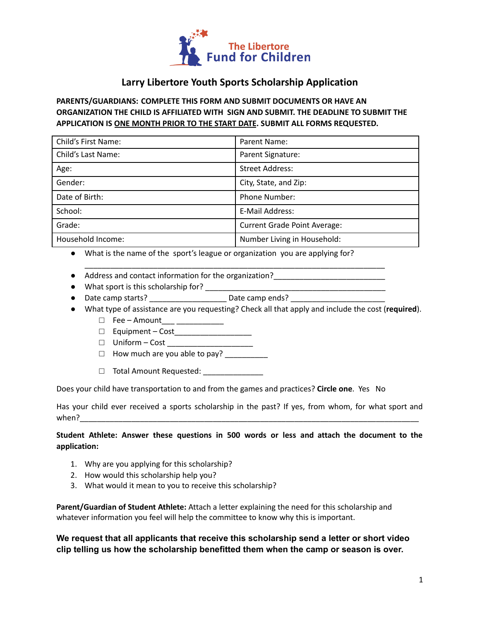

## **Larry Libertore Youth Sports Scholarship Application**

## **PARENTS/GUARDIANS: COMPLETE THIS FORM AND SUBMIT DOCUMENTS OR HAVE AN ORGANIZATION THE CHILD IS AFFILIATED WITH SIGN AND SUBMIT. THE DEADLINE TO SUBMIT THE APPLICATION IS ONE MONTH PRIOR TO THE START DATE. SUBMIT ALL FORMS REQUESTED.**

| Child's First Name: | Parent Name:                        |
|---------------------|-------------------------------------|
| Child's Last Name:  | Parent Signature:                   |
| Age:                | <b>Street Address:</b>              |
| Gender:             | City, State, and Zip:               |
| Date of Birth:      | <b>Phone Number:</b>                |
| School:             | E-Mail Address:                     |
| Grade:              | <b>Current Grade Point Average:</b> |
| Household Income:   | Number Living in Household:         |

\_\_\_\_\_\_\_\_\_\_\_\_\_\_\_\_\_\_\_\_\_\_\_\_\_\_\_\_\_\_\_\_\_\_\_\_\_\_\_\_\_\_\_\_\_\_\_\_\_\_\_\_\_\_\_\_\_\_\_\_\_\_\_\_\_\_\_\_\_\_

- What is the name of the sport's league or organization you are applying for?
- Address and contact information for the organization?\_\_\_\_\_\_\_\_\_\_\_\_\_\_\_\_\_\_\_\_\_\_\_\_\_\_
- What sport is this scholarship for? \_\_\_\_\_\_\_\_\_\_\_\_\_\_\_\_\_\_\_\_\_\_\_\_\_\_\_\_\_\_\_\_\_\_\_\_\_\_\_\_\_\_
- Date camp starts? \_\_\_\_\_\_\_\_\_\_\_\_\_\_\_\_\_\_ Date camp ends? \_\_\_\_\_\_\_\_\_\_\_\_\_\_\_\_\_\_\_\_\_\_
- What type of assistance are you requesting? Check all that apply and include the cost (**required**).
	- □ Fee Amount\_\_\_ \_\_\_\_\_\_\_\_\_\_\_
	- □ Equipment Cost\_\_\_\_\_\_\_\_\_\_\_\_\_\_\_\_\_\_
	- □ Uniform Cost \_\_\_\_\_\_\_\_\_\_\_\_
	- $\Box$  How much are you able to pay?
	- □ Total Amount Requested: \_\_\_\_\_\_\_\_

Does your child have transportation to and from the games and practices? **Circle one**. Yes No

Has your child ever received a sports scholarship in the past? If yes, from whom, for what sport and when?

## **Student Athlete: Answer these questions in 500 words or less and attach the document to the application:**

- 1. Why are you applying for this scholarship?
- 2. How would this scholarship help you?
- 3. What would it mean to you to receive this scholarship?

**Parent/Guardian of Student Athlete:** Attach a letter explaining the need for this scholarship and whatever information you feel will help the committee to know why this is important.

**We request that all applicants that receive this scholarship send a letter or short video clip telling us how the scholarship benefitted them when the camp or season is over.**